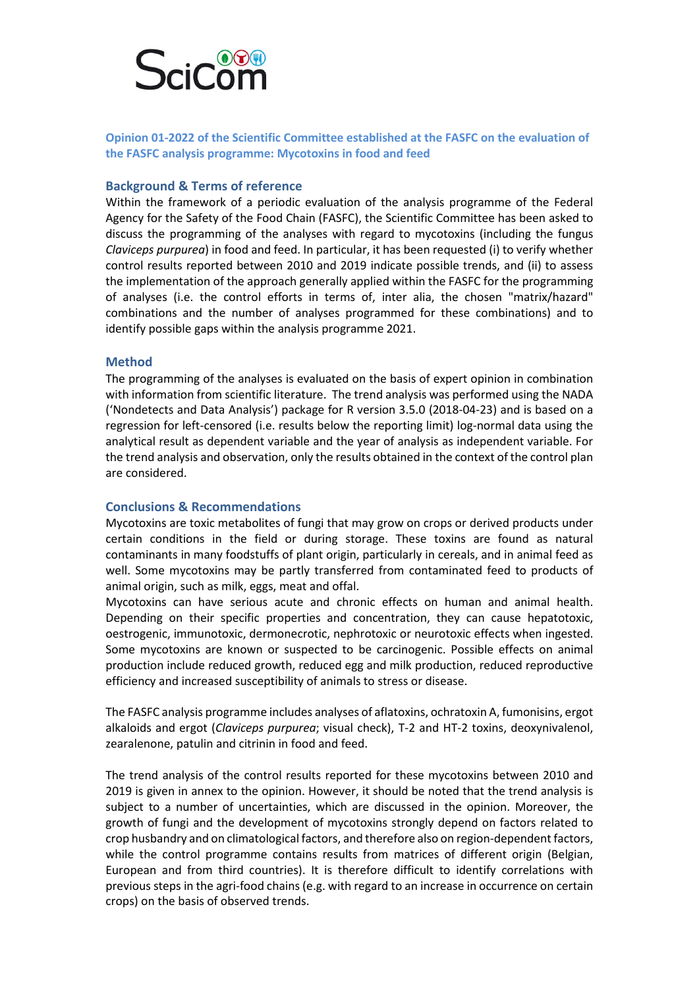

**Opinion 01-2022 of the Scientific Committee established at the FASFC on the evaluation of the FASFC analysis programme: Mycotoxins in food and feed**

## **Background & Terms of reference**

Within the framework of a periodic evaluation of the analysis programme of the Federal Agency for the Safety of the Food Chain (FASFC), the Scientific Committee has been asked to discuss the programming of the analyses with regard to mycotoxins (including the fungus *Claviceps purpurea*) in food and feed. In particular, it has been requested (i) to verify whether control results reported between 2010 and 2019 indicate possible trends, and (ii) to assess the implementation of the approach generally applied within the FASFC for the programming of analyses (i.e. the control efforts in terms of, inter alia, the chosen "matrix/hazard" combinations and the number of analyses programmed for these combinations) and to identify possible gaps within the analysis programme 2021.

## **Method**

The programming of the analyses is evaluated on the basis of expert opinion in combination with information from scientific literature. The trend analysis was performed using the NADA ('Nondetects and Data Analysis') package for R version 3.5.0 (2018-04-23) and is based on a regression for left-censored (i.e. results below the reporting limit) log-normal data using the analytical result as dependent variable and the year of analysis as independent variable. For the trend analysis and observation, only the results obtained in the context of the control plan are considered.

## **Conclusions & Recommendations**

Mycotoxins are toxic metabolites of fungi that may grow on crops or derived products under certain conditions in the field or during storage. These toxins are found as natural contaminants in many foodstuffs of plant origin, particularly in cereals, and in animal feed as well. Some mycotoxins may be partly transferred from contaminated feed to products of animal origin, such as milk, eggs, meat and offal.

Mycotoxins can have serious acute and chronic effects on human and animal health. Depending on their specific properties and concentration, they can cause hepatotoxic, oestrogenic, immunotoxic, dermonecrotic, nephrotoxic or neurotoxic effects when ingested. Some mycotoxins are known or suspected to be carcinogenic. Possible effects on animal production include reduced growth, reduced egg and milk production, reduced reproductive efficiency and increased susceptibility of animals to stress or disease.

The FASFC analysis programme includes analyses of aflatoxins, ochratoxin A, fumonisins, ergot alkaloids and ergot (*Claviceps purpurea*; visual check), T-2 and HT-2 toxins, deoxynivalenol, zearalenone, patulin and citrinin in food and feed.

The trend analysis of the control results reported for these mycotoxins between 2010 and 2019 is given in annex to the opinion. However, it should be noted that the trend analysis is subject to a number of uncertainties, which are discussed in the opinion. Moreover, the growth of fungi and the development of mycotoxins strongly depend on factors related to crop husbandry and on climatological factors, and therefore also on region-dependent factors, while the control programme contains results from matrices of different origin (Belgian, European and from third countries). It is therefore difficult to identify correlations with previous steps in the agri-food chains (e.g. with regard to an increase in occurrence on certain crops) on the basis of observed trends.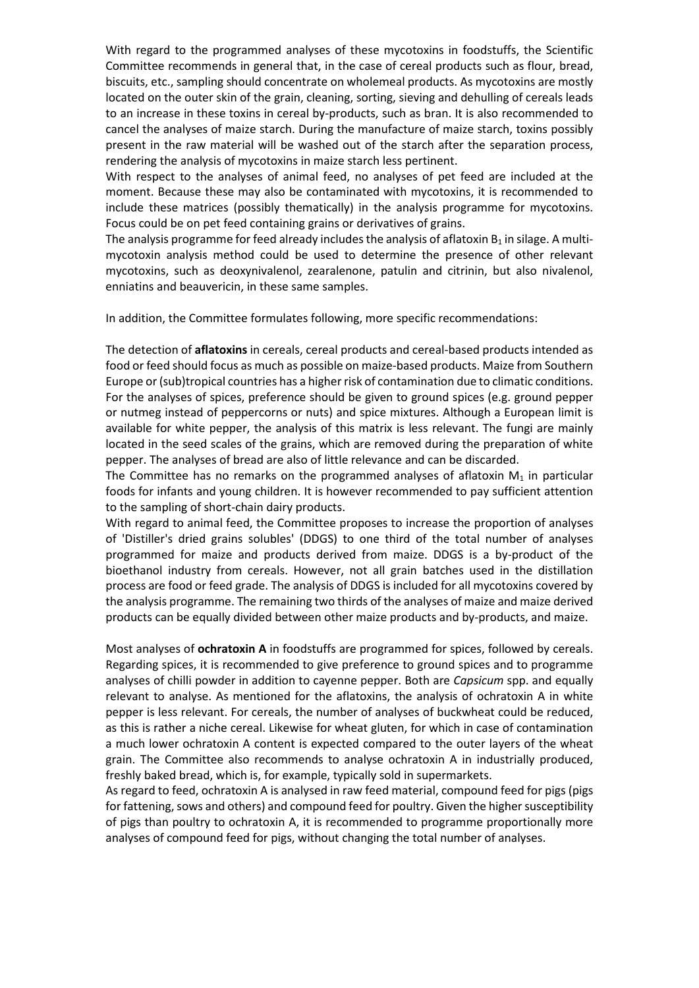With regard to the programmed analyses of these mycotoxins in foodstuffs, the Scientific Committee recommends in general that, in the case of cereal products such as flour, bread, biscuits, etc., sampling should concentrate on wholemeal products. As mycotoxins are mostly located on the outer skin of the grain, cleaning, sorting, sieving and dehulling of cereals leads to an increase in these toxins in cereal by-products, such as bran. It is also recommended to cancel the analyses of maize starch. During the manufacture of maize starch, toxins possibly present in the raw material will be washed out of the starch after the separation process, rendering the analysis of mycotoxins in maize starch less pertinent.

With respect to the analyses of animal feed, no analyses of pet feed are included at the moment. Because these may also be contaminated with mycotoxins, it is recommended to include these matrices (possibly thematically) in the analysis programme for mycotoxins. Focus could be on pet feed containing grains or derivatives of grains.

The analysis programme for feed already includes the analysis of aflatoxin  $B_1$  in silage. A multimycotoxin analysis method could be used to determine the presence of other relevant mycotoxins, such as deoxynivalenol, zearalenone, patulin and citrinin, but also nivalenol, enniatins and beauvericin, in these same samples.

In addition, the Committee formulates following, more specific recommendations:

The detection of **aflatoxins** in cereals, cereal products and cereal-based products intended as food or feed should focus as much as possible on maize-based products. Maize from Southern Europe or (sub)tropical countries has a higher risk of contamination due to climatic conditions. For the analyses of spices, preference should be given to ground spices (e.g. ground pepper or nutmeg instead of peppercorns or nuts) and spice mixtures. Although a European limit is available for white pepper, the analysis of this matrix is less relevant. The fungi are mainly located in the seed scales of the grains, which are removed during the preparation of white pepper. The analyses of bread are also of little relevance and can be discarded.

The Committee has no remarks on the programmed analyses of aflatoxin  $M_1$  in particular foods for infants and young children. It is however recommended to pay sufficient attention to the sampling of short-chain dairy products.

With regard to animal feed, the Committee proposes to increase the proportion of analyses of 'Distiller's dried grains solubles' (DDGS) to one third of the total number of analyses programmed for maize and products derived from maize. DDGS is a by-product of the bioethanol industry from cereals. However, not all grain batches used in the distillation process are food or feed grade. The analysis of DDGS is included for all mycotoxins covered by the analysis programme. The remaining two thirds of the analyses of maize and maize derived products can be equally divided between other maize products and by-products, and maize.

Most analyses of **ochratoxin A** in foodstuffs are programmed for spices, followed by cereals. Regarding spices, it is recommended to give preference to ground spices and to programme analyses of chilli powder in addition to cayenne pepper. Both are *Capsicum* spp. and equally relevant to analyse. As mentioned for the aflatoxins, the analysis of ochratoxin A in white pepper is less relevant. For cereals, the number of analyses of buckwheat could be reduced, as this is rather a niche cereal. Likewise for wheat gluten, for which in case of contamination a much lower ochratoxin A content is expected compared to the outer layers of the wheat grain. The Committee also recommends to analyse ochratoxin A in industrially produced, freshly baked bread, which is, for example, typically sold in supermarkets.

As regard to feed, ochratoxin A is analysed in raw feed material, compound feed for pigs (pigs for fattening, sows and others) and compound feed for poultry. Given the higher susceptibility of pigs than poultry to ochratoxin A, it is recommended to programme proportionally more analyses of compound feed for pigs, without changing the total number of analyses.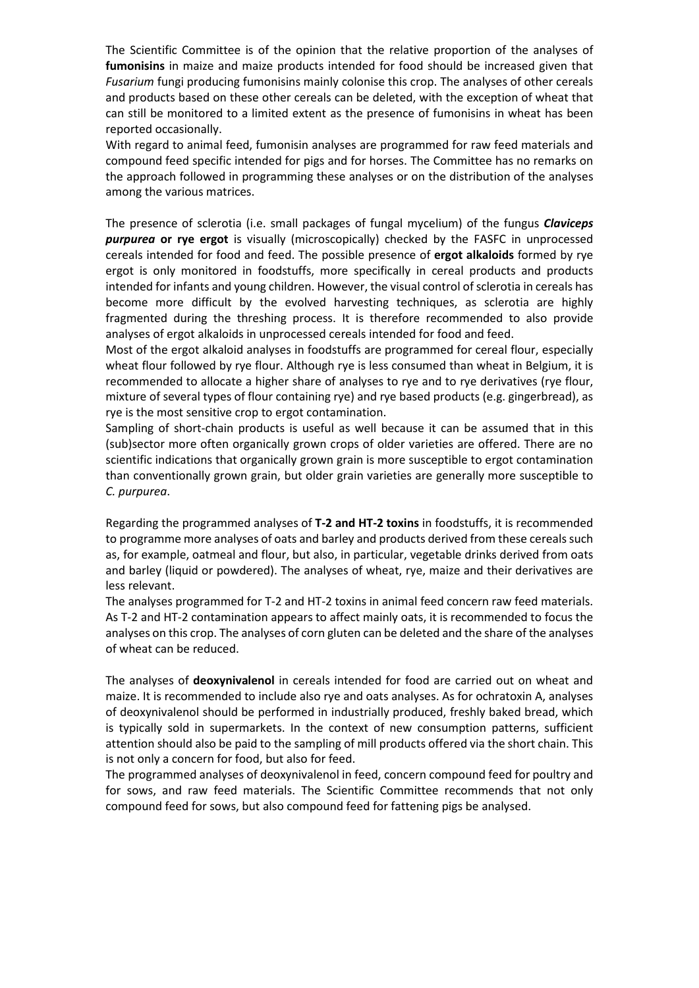The Scientific Committee is of the opinion that the relative proportion of the analyses of **fumonisins** in maize and maize products intended for food should be increased given that *Fusarium* fungi producing fumonisins mainly colonise this crop. The analyses of other cereals and products based on these other cereals can be deleted, with the exception of wheat that can still be monitored to a limited extent as the presence of fumonisins in wheat has been reported occasionally.

With regard to animal feed, fumonisin analyses are programmed for raw feed materials and compound feed specific intended for pigs and for horses. The Committee has no remarks on the approach followed in programming these analyses or on the distribution of the analyses among the various matrices.

The presence of sclerotia (i.e. small packages of fungal mycelium) of the fungus *Claviceps purpurea* **or rye ergot** is visually (microscopically) checked by the FASFC in unprocessed cereals intended for food and feed. The possible presence of **ergot alkaloids** formed by rye ergot is only monitored in foodstuffs, more specifically in cereal products and products intended for infants and young children. However, the visual control of sclerotia in cereals has become more difficult by the evolved harvesting techniques, as sclerotia are highly fragmented during the threshing process. It is therefore recommended to also provide analyses of ergot alkaloids in unprocessed cereals intended for food and feed.

Most of the ergot alkaloid analyses in foodstuffs are programmed for cereal flour, especially wheat flour followed by rye flour. Although rye is less consumed than wheat in Belgium, it is recommended to allocate a higher share of analyses to rye and to rye derivatives (rye flour, mixture of several types of flour containing rye) and rye based products (e.g. gingerbread), as rye is the most sensitive crop to ergot contamination.

Sampling of short-chain products is useful as well because it can be assumed that in this (sub)sector more often organically grown crops of older varieties are offered. There are no scientific indications that organically grown grain is more susceptible to ergot contamination than conventionally grown grain, but older grain varieties are generally more susceptible to *C. purpurea*.

Regarding the programmed analyses of **T-2 and HT-2 toxins** in foodstuffs, it is recommended to programme more analyses of oats and barley and products derived from these cereals such as, for example, oatmeal and flour, but also, in particular, vegetable drinks derived from oats and barley (liquid or powdered). The analyses of wheat, rye, maize and their derivatives are less relevant.

The analyses programmed for T-2 and HT-2 toxins in animal feed concern raw feed materials. As T-2 and HT-2 contamination appears to affect mainly oats, it is recommended to focus the analyses on this crop. The analyses of corn gluten can be deleted and the share of the analyses of wheat can be reduced.

The analyses of **deoxynivalenol** in cereals intended for food are carried out on wheat and maize. It is recommended to include also rye and oats analyses. As for ochratoxin A, analyses of deoxynivalenol should be performed in industrially produced, freshly baked bread, which is typically sold in supermarkets. In the context of new consumption patterns, sufficient attention should also be paid to the sampling of mill products offered via the short chain. This is not only a concern for food, but also for feed.

The programmed analyses of deoxynivalenol in feed, concern compound feed for poultry and for sows, and raw feed materials. The Scientific Committee recommends that not only compound feed for sows, but also compound feed for fattening pigs be analysed.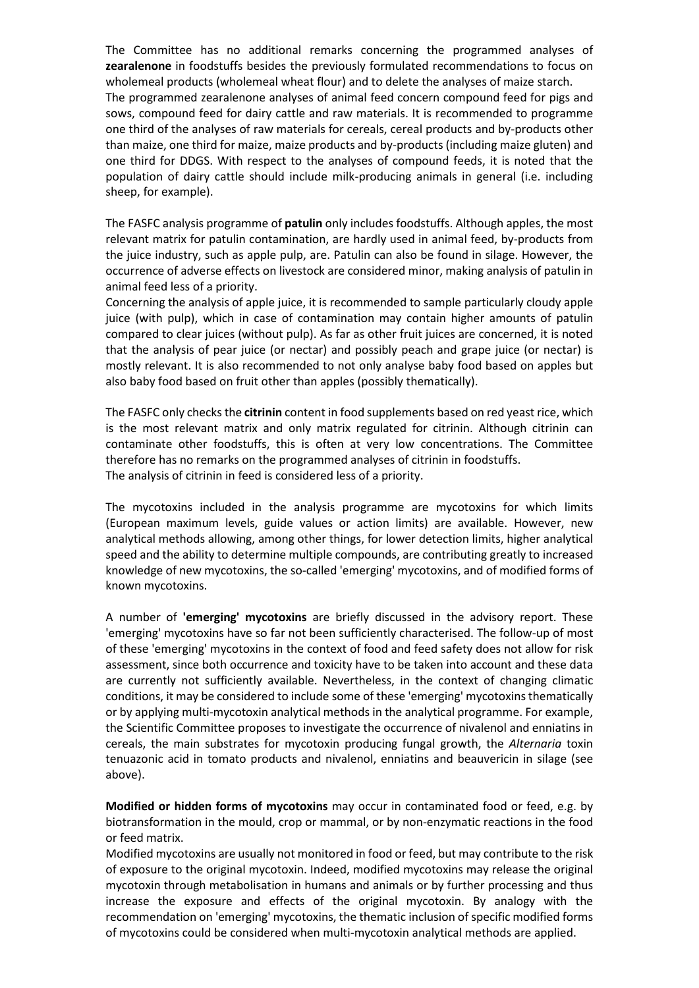The Committee has no additional remarks concerning the programmed analyses of **zearalenone** in foodstuffs besides the previously formulated recommendations to focus on wholemeal products (wholemeal wheat flour) and to delete the analyses of maize starch. The programmed zearalenone analyses of animal feed concern compound feed for pigs and sows, compound feed for dairy cattle and raw materials. It is recommended to programme one third of the analyses of raw materials for cereals, cereal products and by-products other than maize, one third for maize, maize products and by-products (including maize gluten) and one third for DDGS. With respect to the analyses of compound feeds, it is noted that the population of dairy cattle should include milk-producing animals in general (i.e. including sheep, for example).

The FASFC analysis programme of **patulin** only includes foodstuffs. Although apples, the most relevant matrix for patulin contamination, are hardly used in animal feed, by-products from the juice industry, such as apple pulp, are. Patulin can also be found in silage. However, the occurrence of adverse effects on livestock are considered minor, making analysis of patulin in animal feed less of a priority.

Concerning the analysis of apple juice, it is recommended to sample particularly cloudy apple juice (with pulp), which in case of contamination may contain higher amounts of patulin compared to clear juices (without pulp). As far as other fruit juices are concerned, it is noted that the analysis of pear juice (or nectar) and possibly peach and grape juice (or nectar) is mostly relevant. It is also recommended to not only analyse baby food based on apples but also baby food based on fruit other than apples (possibly thematically).

The FASFC only checks the **citrinin** content in food supplements based on red yeast rice, which is the most relevant matrix and only matrix regulated for citrinin. Although citrinin can contaminate other foodstuffs, this is often at very low concentrations. The Committee therefore has no remarks on the programmed analyses of citrinin in foodstuffs. The analysis of citrinin in feed is considered less of a priority.

The mycotoxins included in the analysis programme are mycotoxins for which limits (European maximum levels, guide values or action limits) are available. However, new analytical methods allowing, among other things, for lower detection limits, higher analytical speed and the ability to determine multiple compounds, are contributing greatly to increased knowledge of new mycotoxins, the so-called 'emerging' mycotoxins, and of modified forms of known mycotoxins.

A number of **'emerging' mycotoxins** are briefly discussed in the advisory report. These 'emerging' mycotoxins have so far not been sufficiently characterised. The follow-up of most of these 'emerging' mycotoxins in the context of food and feed safety does not allow for risk assessment, since both occurrence and toxicity have to be taken into account and these data are currently not sufficiently available. Nevertheless, in the context of changing climatic conditions, it may be considered to include some of these 'emerging' mycotoxins thematically or by applying multi-mycotoxin analytical methods in the analytical programme. For example, the Scientific Committee proposes to investigate the occurrence of nivalenol and enniatins in cereals, the main substrates for mycotoxin producing fungal growth, the *Alternaria* toxin tenuazonic acid in tomato products and nivalenol, enniatins and beauvericin in silage (see above).

**Modified or hidden forms of mycotoxins** may occur in contaminated food or feed, e.g. by biotransformation in the mould, crop or mammal, or by non-enzymatic reactions in the food or feed matrix.

Modified mycotoxins are usually not monitored in food or feed, but may contribute to the risk of exposure to the original mycotoxin. Indeed, modified mycotoxins may release the original mycotoxin through metabolisation in humans and animals or by further processing and thus increase the exposure and effects of the original mycotoxin. By analogy with the recommendation on 'emerging' mycotoxins, the thematic inclusion of specific modified forms of mycotoxins could be considered when multi-mycotoxin analytical methods are applied.